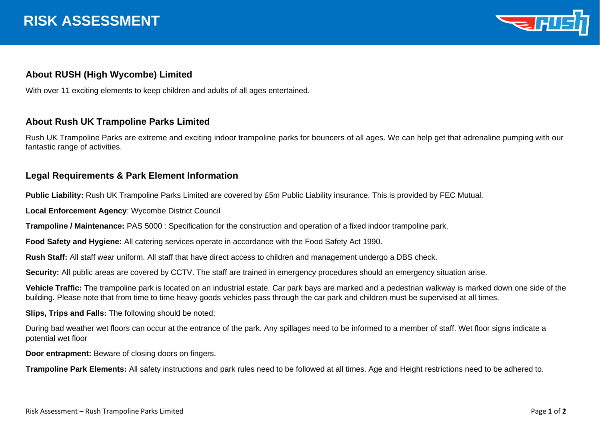

## **About RUSH (High Wycombe) Limited**

With over 11 exciting elements to keep children and adults of all ages entertained.

## **About Rush UK Trampoline Parks Limited**

Rush UK Trampoline Parks are extreme and exciting indoor trampoline parks for bouncers of all ages. We can help get that adrenaline pumping with our fantastic range of activities.

## **Legal Requirements & Park Element Information**

**Public Liability:** Rush UK Trampoline Parks Limited are covered by £5m Public Liability insurance. This is provided by FEC Mutual.

**Local Enforcement Agency**: Wycombe District Council

**Trampoline / Maintenance:** PAS 5000 : Specification for the construction and operation of a fixed indoor trampoline park.

**Food Safety and Hygiene:** All catering services operate in accordance with the Food Safety Act 1990.

**Rush Staff:** All staff wear uniform. All staff that have direct access to children and management undergo a DBS check.

**Security:** All public areas are covered by CCTV. The staff are trained in emergency procedures should an emergency situation arise.

**Vehicle Traffic:** The trampoline park is located on an industrial estate. Car park bays are marked and a pedestrian walkway is marked down one side of the building. Please note that from time to time heavy goods vehicles pass through the car park and children must be supervised at all times.

**Slips, Trips and Falls:** The following should be noted;

During bad weather wet floors can occur at the entrance of the park. Any spillages need to be informed to a member of staff. Wet floor signs indicate a potential wet floor

**Door entrapment:** Beware of closing doors on fingers.

**Trampoline Park Elements:** All safety instructions and park rules need to be followed at all times. Age and Height restrictions need to be adhered to.